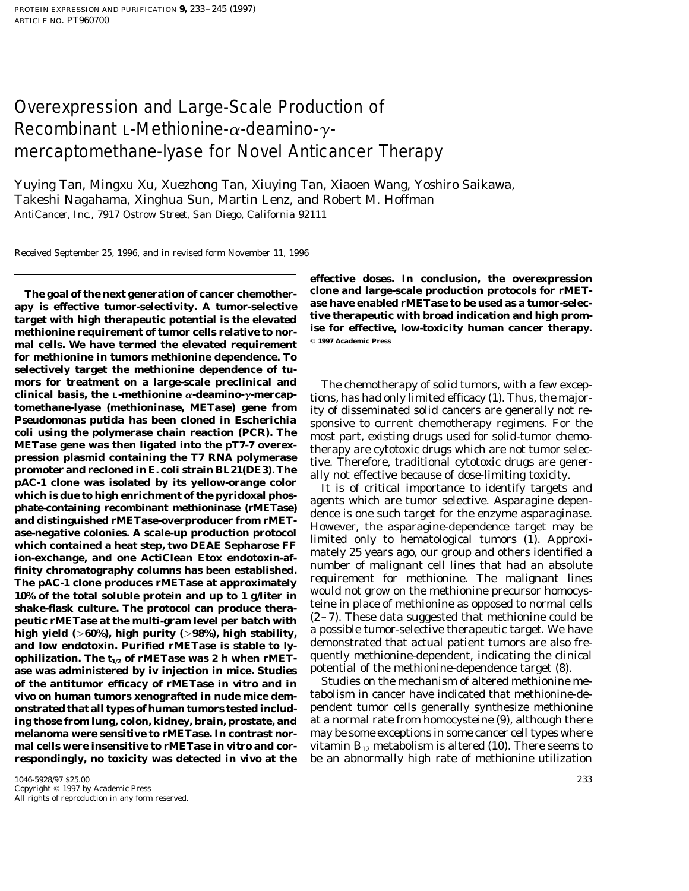# Overexpression and Large-Scale Production of Recombinant L-Methionine- $\alpha$ -deamino- $\gamma$ mercaptomethane-lyase for Novel Anticancer Therapy

Yuying Tan, Mingxu Xu, Xuezhong Tan, Xiuying Tan, Xiaoen Wang, Yoshiro Saikawa, Takeshi Nagahama, Xinghua Sun, Martin Lenz, and Robert M. Hoffman *AntiCancer, Inc., 7917 Ostrow Street, San Diego, California 92111*

Received September 25, 1996, and in revised form November 11, 1996

apy is effective tumor-selectivity. A tumor-selective ase have enabled rMETase to be used as a tumor-selectivity<br>target with high therapeutic potential is the elevated tive therapeutic with broad indication and high prom-<br> **methionine requirement of tumor cells relative to nor- ise for effective**<br>mol cells. We have termed the elevated nonvinement  $\degree$  1997 Academic Press mal cells. We have termed the elevated requirement **for methionine in tumors methionine dependence. To selectively target the methionine dependence of tu**mors for treatment on a large-scale predinical and<br>
mors for the methomina parameteric incomparameters are the<br>mical basis, the L-methioninase, METase) gene from ity of disseminated solid cancers are generally not re-<br> *P* **heatic rMETase at the multi-gram level per batch with**  $(2-i)$ . These data suggested that methionine could be have **60%), high purity (>98%), high stability**, a possible tumor-selective therapeutic target. We have and low endotoxin. Purified rMETase is stable to ly-<br>ophilization. The t<sub>is</sub> of rMETase was 2 h when rMET- quently methionine-dependent, indicating the clinical **ophilization. The**  $t_{1/2}$  **of rMETase was 2 h when rMET**- quently methionine-dependent, indicating the clinicating the clinicating the clinical ase was administered by iviniection in mice. Studies potential of the methion **ase was administered by iv injection in mice. Studies** potential of the methionine-dependence target (8). **of the antitumor efficacy of rMETase** *in vitro* **and** *in* **Studies on the mechanism of altered methionine me-<br>***vive* **on human tumors xenografted in nude mice dem- tabolism in cancer have indicated that methionine-de***vivo* on human tumors xenografted in nude mice dem**onstrated that all types of human tumors tested includ-** pendent tumor cells generally synthesize methionine **ing those from lung, colon, kidney, brain, prostate, and** at a normal rate from homocysteine (9), although there **melanoma were sensitive to rMETase. In contrast nor-** may be some exceptions in some cancer cell types where **mal cells were insensitive to rMETase** *in vitro* **and cor-** vitamin B<sub>12</sub> metabolism is altered (10). There seems to

**effective doses. In conclusion, the overexpression The goal of the next generation of cancer chemother- clone and large-scale production protocols for rMET-**

**respondingly, no toxicity was detected** *in vivo* **at the** be an abnormally high rate of methionine utilization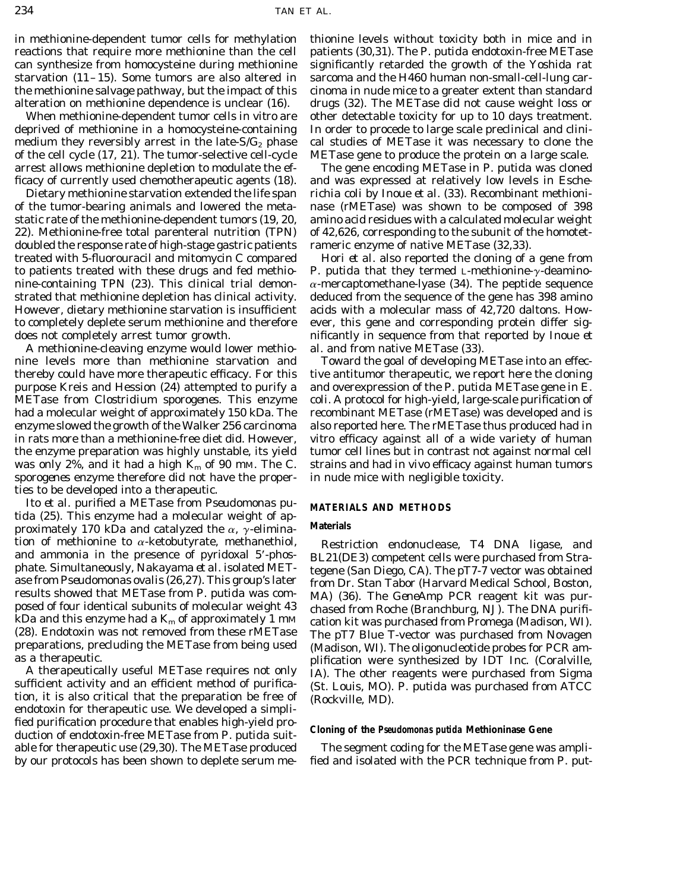in methionine-dependent tumor cells for methylation thionine levels without toxicity both in mice and in reactions that require more methionine than the cell patients (30,31). The *P. putida* endotoxin-free METase can synthesize from homocysteine during methionine significantly retarded the growth of the Yoshida rat starvation (11–15). Some tumors are also altered in sarcoma and the H460 human non-small-cell-lung carthe methionine salvage pathway, but the impact of this cinoma in nude mice to a greater extent than standard alteration on methionine dependence is unclear (16). drugs (32). The METase did not cause weight loss or

deprived of methionine in a homocysteine-containing In order to procede to large scale preclinical and clinimedium they reversibly arrest in the late- $S/G_2$  phase cal studies of METase it was necessary to clone the of the cell cycle (17, 21). The tumor-selective cell-cycle METase gene to produce the protein on a large scale. arrest allows methionine depletion to modulate the ef- The gene encoding METase in *P. putida* was cloned

22). Methionine-free total parenteral nutrition (TPN) of 42,626, corresponding to the subunit of the homotetdoubled the response rate of high-stage gastric patients rameric enzyme of native METase (32,33). to patients treated with these drugs and fed methio- *P. putida* that they termed L-methionine- $\gamma$ -deamino-However, dietary methionine starvation is insufficient acids with a molecular mass of 42,720 daltons. How-

A methionine-cleaving enzyme would lower methio- *al.* and from native METase (33). nine levels more than methionine starvation and Toward the goal of developing METase into an effecthereby could have more therapeutic efficacy. For this tive antitumor therapeutic, we report here the cloning purpose Kreis and Hession (24) attempted to purify a and overexpression of the *P. putida* METase gene in *E.* METase from *Clostridium sporogenes.* This enzyme *coli.* A protocol for high-yield, large-scale purification of had a molecular weight of approximately 150 kDa. The recombinant METase (rMETase) was developed and is enzyme slowed the growth of the Walker 256 carcinoma also reported here. The rMETase thus produced had *in* in rats more than a methionine-free diet did. However, *vitro* efficacy against all of a wide variety of human the enzyme preparation was highly unstable, its yield tumor cell lines but in contrast not against normal cell was only 2%, and it had a high  $K_m$  of 90 mm. The *C.* strains and had *in vivo* efficacy against human tumors *sporogenes* enzyme therefore did not have the proper- in nude mice with negligible toxicity. ties to be developed into a therapeutic.

Ito *et al.* purified a METase from *Pseudomonas pu-* **MATERIALS AND METHODS** *tida* (25). This enzyme had a molecular weight of approximately 170 kDa and catalyzed the  $\alpha$ ,  $\gamma$ -elimina- Materials

fied purification procedure that enables high-yield pro- **Cloning of the** *Pseudomonas putida* **Methioninase Gene** duction of endotoxin-free METase from *P. putida* suit-

When methionine-dependent tumor cells *in vitro* are other detectable toxicity for up to 10 days treatment.

ficacy of currently used chemotherapeutic agents (18). and was expressed at relatively low levels in *Esche-*Dietary methionine starvation extended the life span *richia coli* by Inoue *et al.* (33). Recombinant methioniof the tumor-bearing animals and lowered the meta- nase (rMETase) was shown to be composed of 398 static rate of the methionine-dependent tumors (19, 20, amino acid residues with a calculated molecular weight

treated with 5-fluorouracil and mitomycin C compared Hori *et al.* also reported the cloning of a gene from nine-containing TPN (23). This clinical trial demon- $\alpha$ -mercaptomethane-lyase (34). The peptide sequence strated that methionine depletion has clinical activity. deduced from the sequence of the gene has 398 amino to completely deplete serum methionine and therefore ever, this gene and corresponding protein differ sigdoes not completely arrest tumor growth. nificantly in sequence from that reported by Inoue *et*

tion of methionine to  $\alpha$ -ketobutyrate, methanethiol,<br>
Restriction endonuclease, T4 DNA ligase, and<br>
and ammonia in the presence of pyridoxal 5'-phos-<br>
phate. Simultaneously, Nakayama *et al.* isolated MET-<br>
age from Des

able for therapeutic use (29,30). The METase produced The segment coding for the METase gene was ampliby our protocols has been shown to deplete serum me- fied and isolated with the PCR technique from *P. put-*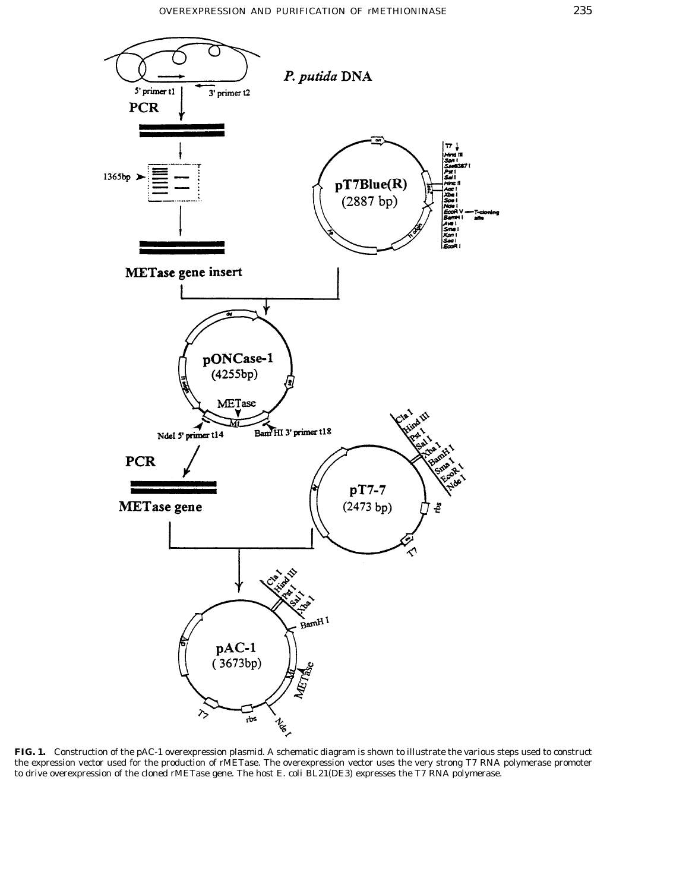

**FIG. 1.** Construction of the pAC-1 overexpression plasmid. A schematic diagram is shown to illustrate the various steps used to construct the expression vector used for the production of rMETase. The overexpression vector uses the very strong T7 RNA polymerase promoter to drive overexpression of the cloned rMETase gene. The host *E. coli* BL21(DE3) expresses the T7 RNA polymerase.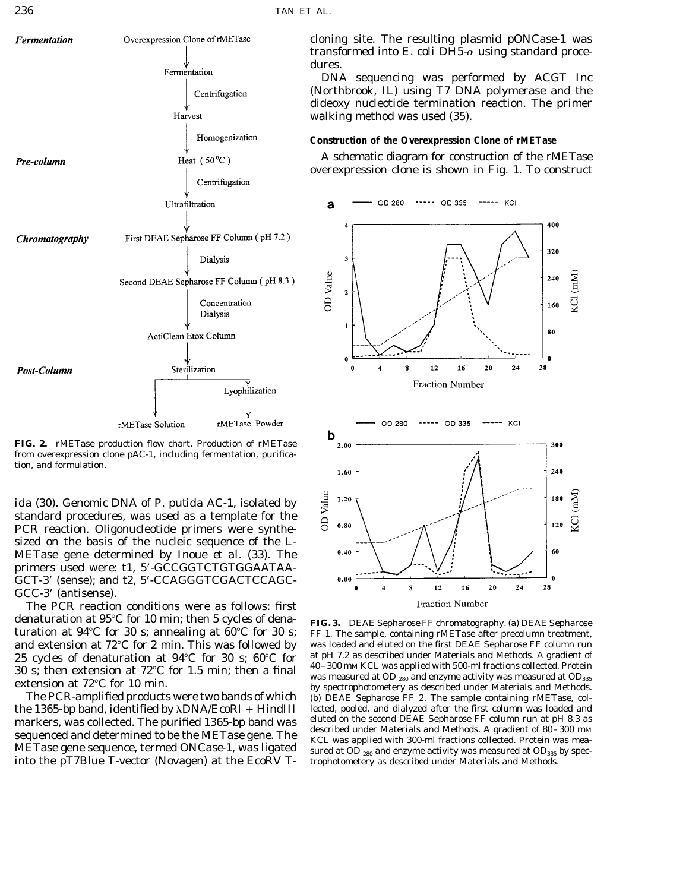

**FIG. 2.** rMETase production flow chart. Production of rMETase from overexpression clone pAC-1, including fermentation, purification, and formulation.

*ida* (30). Genomic DNA of *P. putida* AC-1, isolated by standard procedures, was used as a template for the PCR reaction. Oligonucleotide primers were synthesized on the basis of the nucleic sequence of the L-METase gene determined by Inoue *et al.* (33). The primers used were: t1, 5\*-GCCGGTCTGTGGAATAA-GCT-3\* (sense); and t2, 5\*-CCAGGGTCGACTCCAGC-GCC-3' (antisense).

The PCR reaction conditions were as follows: first denaturation at 95°C for 10 min; then 5 cycles of dena-<br> **FIG. 3.** DEAE Sepharose FF chromatography. (a) DEAE Sepharose turation at 94°C for 30 s; FF 1. The sample, containing rMETase after precolumn treatment.

sequenced and determined to be the METase gene. The<br>METase gene sequence, termed ONCase-1, was ligated<br>sured at OD 280 and enzyme activity was measured at OD 280 and enzyme activity was measured at OD<sub>335</sub> by specinto the pT7Blue T-vector (Novagen) at the *Eco*RV T- trophotometery as described under Materials and Methods.

cloning site. The resulting plasmid p*ONCase-1* was transformed into  $E.$  coli DH5- $\alpha$  using standard procedures.

DNA sequencing was performed by ACGT Inc (Northbrook, IL) using T7 DNA polymerase and the dideoxy nucleotide termination reaction. The primer walking method was used (35).

# **Construction of the Overexpression Clone of rMETase**

A schematic diagram for construction of the rMETase overexpression clone is shown in Fig. 1. To construct



FF 1. The sample, containing rMETase after precolumn treatment, and extension at 72°C for 2 min. This was followed by was loaded and eluted on the first DEAE Sepharose FF column run<br>25 cycles of denaturation at 94°C for 30 s: 60°C for at pH 7.2 as described under Materials and Methods 25 cycles of denaturation at  $94^{\circ}$ C for  $30 \text{ s}$ ;  $60^{\circ}$ C for  $1.5 \text{ min}$ ;  $40-300 \text{ mM KCL}$  was applied with 500-ml fractions collected. Protein  $30 \text{ s}$ ; then extension at  $72^{\circ}$ C for  $1.5 \text{ min}$ ; then e  $6 \text{ mol}$  30 s; then extension at  $72^{\circ}$ C for 1.5 min; then a final  $^{40-300 \text{ mM }$  KCL was applied with 500-mi fractions collected. Protein<br>extension at  $72^{\circ}$ C for 10 min.<br>The PCR-amplified products were two bands of which (b) (b) DEAE Sepharose FF 2. The sample containing rMETase, colthe 1365-bp band, identified by  $\lambda$ DNA/*Eco*RI + *HindIII* lected, pooled, and dialyzed after the first column was loaded and markers was collected. The nurified 1365-bp band was eluted on the second DEAE Sepharose FF col markers, was collected. The purified 1365-bp band was eluted on the second DEAE Sepharose FF column run at pH 8.3 as<br>described under Materials and Methods. A gradient of 80–300 mm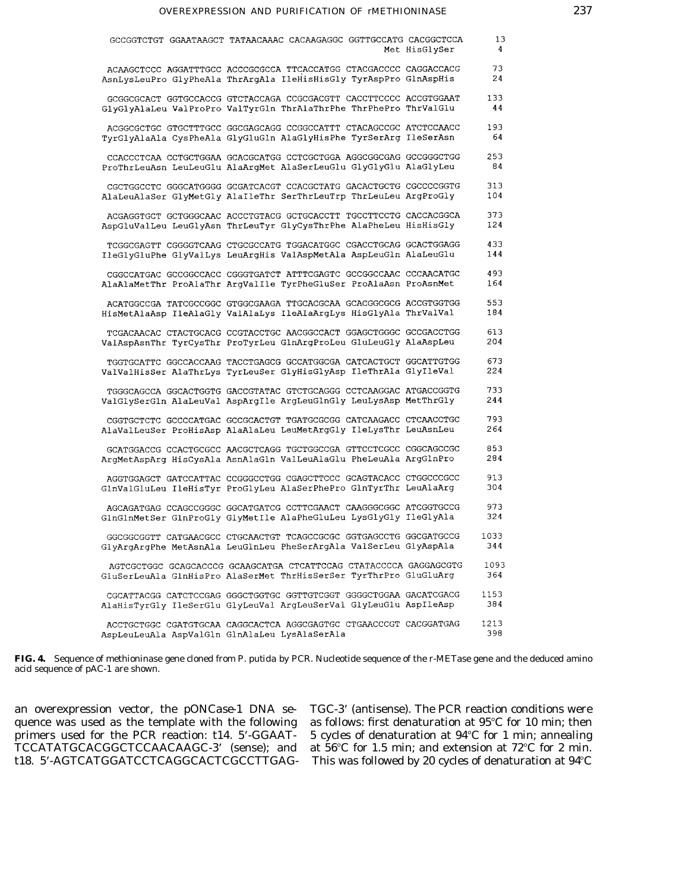| GCCGGTCTGT GGAATAAGCT TATAACAAAC CACAAGAGGC GGTTGCCATG CACGGCTCCA                                                                      | Met HisGlySer | 13<br>4     |
|----------------------------------------------------------------------------------------------------------------------------------------|---------------|-------------|
| ACAAGCTCCC AGGATTTGCC ACCCGCGCCA TTCACCATGG CTACGACCCC CAGGACCACG<br>AsnLysLeuPro GlyPheAla ThrArgAla IleHisHisGly TyrAspPro GlnAspHis |               | 73<br>24    |
| GCGGCGCACT GGTGCCACCG GTCTACCAGA CCGCGACGTT CACCTTCCCC ACCGTGGAAT<br>GlyGlyAlaLeu ValProPro ValTyrGln ThrAlaThrPhe ThrPhePro ThrValGlu |               | 133<br>44   |
| ACGGCGCTGC GTGCTTTGCC GGCGAGCAGG CCGGCCATTT CTACAGCCGC ATCTCCAACC<br>TyrGlyAlaAla CysPheAla GlyGluGln AlaGlyHisPhe TyrSerArg IleSerAsn |               | 193<br>64   |
| CCACCCTCAA CCTGCTGGAA GCACGCATGG CCTCGCTGGA AGGCGGCGAG GCCGGGCTGG<br>ProThrLeuAsn LeuLeuGlu AlaArgMet AlaSerLeuGlu GlyGlyGlu AlaGlyLeu |               | 253<br>84   |
| CGCTGGCCTC GGGCATGGGG GCGATCACGT CCACGCTATG GACACTGCTG CGCCCCGGTG<br>AlaLeuAlaSer GlyMetGly AlaIleThr SerThrLeuTrp ThrLeuLeu ArgProGly |               | 313<br>104  |
| ACGAGGTGCT GCTGGGCAAC ACCCTGTACG GCTGCACCTT TGCCTTCCTG CACCACGGCA<br>AspGluValLeu LeuGlyAsn ThrLeuTyr GlyCysThrPhe AlaPheLeu HisHisGly |               | 373<br>124  |
| TCGGCGAGTT CGGGGTCAAG CTGCGCCATG TGGACATGGC CGACCTGCAG GCACTGGAGG<br>IleGlyGluPhe GlyValLys LeuArqHis ValAspMetAla AspLeuGln AlaLeuGlu |               | 433<br>144  |
| CGGCCATGAC GCCGGCCACC CGGGTGATCT ATTTCGAGTC GCCGGCCAAC CCCAACATGC<br>AlaAlaMetThr ProAlaThr ArgValIle TyrPheGluSer ProAlaAsn ProAsnMet |               | 493<br>164  |
| ACATGGCCGA TATCGCCGGC GTGGCGAAGA TTGCACGCAA GCACGGCGCG ACCGTGGTGG<br>HisMetAlaAsp IleAlaGly ValAlaLys IleAlaArgLys HisGlyAla ThrValVal |               | 553<br>184  |
| TCGACAACAC CTACTGCACG CCGTACCTGC AACGGCCACT GGAGCTGGGC GCCGACCTGG<br>ValAspAsnThr TyrCysThr ProTyrLeu GlnArgProLeu GluLeuGly AlaAspLeu |               | 613<br>204  |
| TGGTGCATTC GGCCACCAAG TACCTGAGCG GCCATGGCGA CATCACTGCT GGCATTGTGG<br>ValValHisSer AlaThrLys TyrLeuSer GlyHisGlyAsp IleThrAla GlyIleVal |               | 673<br>224  |
| TGGGCAGCCA GGCACTGGTG GACCGTATAC GTCTGCAGGG CCTCAAGGAC ATGACCGGTG<br>ValGlySerGln AlaLeuVal AspArgIle ArgLeuGlnGly LeuLysAsp MetThrGly |               | 733<br>244  |
| CGGTGCTCTC GCCCCATGAC GCCGCACTGT TGATGCGCGG CATCAAGACC CTCAACCTGC<br>AlaValLeuSer ProHisAsp AlaAlaLeu LeuMetArgGly IleLysThr LeuAsnLeu |               | 793<br>264  |
| GCATGGACCG CCACTGCGCC AACGCTCAGG TGCTGGCCGA GTTCCTCGCC CGGCAGCCGC<br>ArgMetAspArg HisCysAla AsnAlaGln ValLeuAlaGlu PheLeuAla ArgGlnPro |               | 853<br>284  |
| AGGTGGAGCT GATCCATTAC CCGGGCCTGG CGAGCTTCCC GCAGTACACC CTGGCCCGCC<br>GlnValGluLeu IleHisTyr ProGlyLeu AlaSerPhePro GlnTyrThr LeuAlaArg |               | 913<br>304  |
| AGCAGATGAG CCAGCCGGGC GGCATGATCG CCTTCGAACT CAAGGGCGGC ATCGGTGCCG<br>GlnGlnMetSer GlnProGly GlyMetIle AlaPheGluLeu LysGlyGly IleGlyAla |               | 973<br>324  |
| GGCGGCGGTT CATGAACGCC CTGCAACTGT TCAGCCGCGC GGTGAGCCTG GGCGATGCCG<br>GlyArgArgPhe MetAsnAla LeuGlnLeu PheSerArgAla ValSerLeu GlyAspAla |               | 1033<br>344 |
| AGTCGCTGGC GCAGCACCCG GCAAGCATGA CTCATTCCAG CTATACCCCA GAGGAGCGTG<br>GluSerLeuAla GlnHisPro AlaSerMet ThrHisSerSer TyrThrPro GluGluArg |               | 1093<br>364 |
| CGCATTACGG CATCTCCGAG GGGCTGGTGC GGTTGTCGGT GGGGCTGGAA GACATCGACG<br>AlaHisTyrGly IleSerGlu GlyLeuVal ArgLeuSerVal GlyLeuGlu AspIleAsp |               | 1153<br>384 |
| ACCTGCTGGC CGATGTGCAA CAGGCACTCA AGGCGAGTGC CTGAACCCGT CACGGATGAG<br>AspLeuLeuAla AspValGln GlnAlaLeu LysAlaSerAla                     |               | 1213<br>398 |

**FIG. 4.** Sequence of methioninase gene cloned from *P. putida* by PCR. Nucleotide sequence of the r-METase gene and the deduced amino acid sequence of pAC-1 are shown.

an overexpression vector, the p*ONCase-1* DNA se- TGC-3' (antisense). The PCR reaction conditions were quence was used as the template with the following as follows: first denaturation at 95°C for 10 min; then quence was used as the template with the following primers used for the PCR reaction: t14. 5'-GGAATprimers used for the PCR reaction: t14. 5'-GGAAT- 5 cycles of denaturation at 94°C for 1 min; annealing TCCATATGCACGGCTCCAACAAGC-3' (sense); and at 56°C for 1.5 min; and extension at 72°C for 2 min. TCCATATGCACGGCTCCAACAAGC-3' (sense); and at 56°C for 1.5 min; and extension at 72°C for 2 min.<br>t18. 5'-AGTCATGGATCCTCAGGCACTCGCCTTGAG- This was followed by 20 cycles of denaturation at 94°C

This was followed by 20 cycles of denaturation at 94°C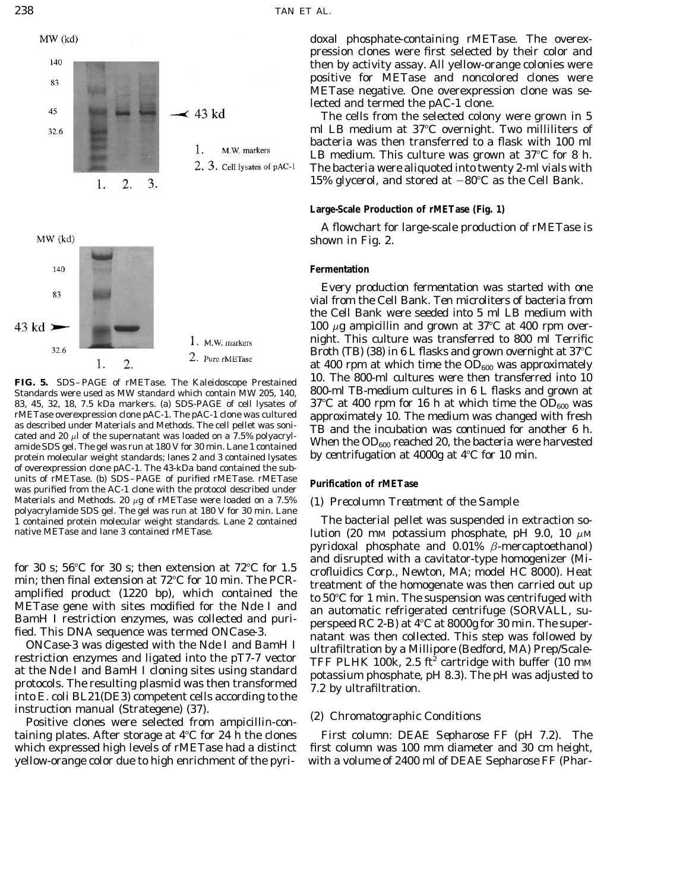



Standards were used as MW standard which contain MW 205, 140, 800-ml TB-medium cultures in6Lflasks and grown at 83, 45, 32, 18, 7.5 kDa markers. (a) SDS-PAGE of cell lysates of  $37^{\circ}$ C at 400 rpm for 16 h at which time the OD<sub>600</sub> was rMETase overexpression clone pAC-1. The pAC-1 clone was cultured approximately 10. The medium wa rMETase overexpression clone pAC-1. The pAC-1 clone was cultured<br>as described under Materials and Methods. The cell pellet was sonicated<br>and 20  $\mu$  of the supernatant was loaded on a 7.5% polyacryl-<br>amide SDS gel. The ge protein molecular weight standards; lanes 2 and 3 contained lysates of overexpression clone pAC-1. The 43-kDa band contained the subunits of rMETase. (b) SDS–PAGE of purified rMETase. rMETase **Purification of rMETase** was purified from the AC-1 clone with the protocol described under Materials and Methods. 20  $\mu$ g of rMETase were loaded on a 7.5% *(1) Precolumn Treatment of the Sample* polyacrylamide SDS gel. The gel was run at 180 V for 30 min. Lane

restriction enzymes and figated into the p17-7 vector<br>at the *Nde* I and *Bam*H I cloning sites using standard<br>protocols. The resulting plasmid was then transformed<br>into *E. coli* BL21(DE3) competent cells according to th instruction manual (Strategene) (37). *(2) Chromatographic Conditions* Positive clones were selected from ampicillin-con-

taining plates. After storage at 4<sup>°</sup>C for 24 h the clones *First column: DEAE Sepharose FF (pH 7.2).* The which expressed high levels of rMETase had a distinct first column was 100 mm diameter and 30 cm height, yellow-orange color due to high enrichment of the pyri- with a volume of 2400 ml of DEAE Sepharose FF (Phar-

doxal phosphate-containing rMETase. The overexpression clones were first selected by their color and then by activity assay. All yellow-orange colonies were positive for METase and noncolored clones were METase negative. One overexpression clone was selected and termed the pAC-1 clone.

The cells from the selected colony were grown in 5 ml LB medium at  $37^{\circ}$ C overnight. Two milliliters of bacteria was then transferred to a flask with 100 ml LB medium. This culture was grown at  $37^{\circ}$ C for 8 h. The bacteria were aliquoted into twenty 2-ml vials with 15% glycerol, and stored at  $-80^{\circ}$ C as the Cell Bank.

# **Large-Scale Production of rMETase (Fig. 1)**

A flowchart for large-scale production of rMETase is shown in Fig. 2.

# **Fermentation**

Every production fermentation was started with one vial from the Cell Bank. Ten microliters of bacteria from the Cell Bank were seeded into 5 ml LB medium with 100  $\mu$ g ampicillin and grown at 37°C at 400 rpm overnight. This culture was transferred to 800 ml Terrific Broth (TB) (38) in 6 L flasks and grown overnight at  $37^{\circ}$ C at 400 rpm at which time the  $OD_{600}$  was approximately 10. The 800-ml cultures were then transferred into 10 **FIG. 5.** SDS–PAGE of rMETase. The Kaleidoscope Prestained

1 contained protein molecular weight standards. Lane 2 contained The bacterial pellet was suspended in extraction sonative METase and lane 3 contained rMETase. lution (20 mM potassium phosphate, pH 9.0, 10  $\mu$ M pyridoxal phosphate and  $0.01\%$   $\beta$ -mercaptoethanol) for 30 s; 56°C for 30 s; then extension at 72°C for 1.5<br>min; then final extension at 72°C for 10 min. The PCR-<br>amplified product (1220 bp), which contained the<br>define the homogenate was then carried out up<br>to 50°C for 1 m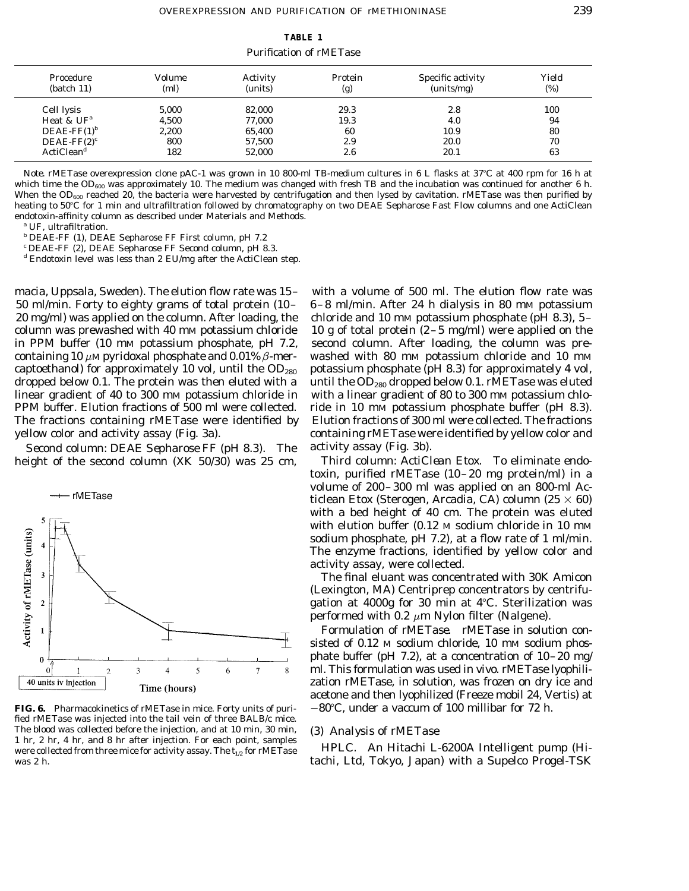**TABLE 1** Purification of rMETase

| Procedure<br>$0 (batch 11)$ | Volume<br>(ml) | Activity<br>(units) | Protein<br>(g) | Specific activity<br>(units/mg) | Yield<br>(%) |
|-----------------------------|----------------|---------------------|----------------|---------------------------------|--------------|
| Cell lysis                  | 5.000          | 82.000              | 29.3           | 2.8                             | 100          |
| Heat & $UF^a$               | 4.500          | 77,000              | 19.3           | 4.0                             | 94           |
| DEAE-FF $(1)^b$             | 2.200          | 65,400              | 60             | 10.9                            | 80           |
| DEAE-FF $(2)^c$             | 800            | 57,500              | 2.9            | 20.0                            | 70           |
| ActiClean <sup>d</sup>      | 182            | 52,000              | 2.6            | 20.1                            | 63           |

*Note.* rMETase overexpression clone pAC-1 was grown in 10 800-ml TB-medium cultures in 6 L flasks at 37°C at 400 rpm for 16 h at which time the OD<sub>600</sub> was approximately 10. The medium was changed with fresh TB and the incubation was continued for another 6 h. When the  $OD_{600}$  reached 20, the bacteria were harvested by centrifugation and then lysed by cavitation. rMETase was then purified by heating to 50°C for 1 min and ultrafiltration followed by chromatography on two DEAE Sepharose Fast Flow columns and one ActiClean endotoxin-affinity column as described under Materials and Methods.

*<sup>a</sup>* UF, ultrafiltration.

*<sup>b</sup>* DEAE-FF (1), DEAE Sepharose FF First column, pH 7.2

*<sup>c</sup>* DEAE-FF (2), DEAE Sepharose FF Second column, pH 8.3.

*<sup>d</sup>* Endotoxin level was less than 2 EU/mg after the ActiClean step.

50 ml/min. Forty to eighty grams of total protein (10– 6–8 ml/min. After 24 h dialysis in 80 mM potassium 20 mg/ml) was applied on the column. After loading, the chloride and 10 mm potassium phosphate (pH 8.3),  $5$ column was prewashed with 40 mm potassium chloride  $10$  g of total protein (2–5 mg/ml) were applied on the in PPM buffer (10 mm potassium phosphate, pH 7.2, second column. After loading, the column was prein PPM buffer (10 mm potassium phosphate, pH 7.2, containing 10  $\mu$ M pyridoxal phosphate and 0.01%  $\beta$ -mer- washed with 80 mM potassium chloride and 10 mM captoethanol) for approximately 10 vol, until the  $OD_{280}$  potassium phosphate (pH 8.3) for approximately 4 vol, dropped below 0.1. The protein was then eluted with a until the  $OD_{280}$  dropped below 0.1. rMETase was eluted linear gradient of 40 to 300 mm potassium chloride in with a linear gradient of 80 to 300 mm potassium chlo-PPM buffer. Elution fractions of 500 ml were collected. ride in 10 mm potassium phosphate buffer (pH 8.3). The fractions containing rMETase were identified by Elution fractions of 300 ml were collected. The fractions

*Second column: DEAE Sepharose FF (pH 8.3).* The activity assay (Fig. 3b).



**FIG. 6.** Pharmacokinetics of rMETase in mice. Forty units of puri-  $-80^{\circ}$ C, under a vaccum of 100 millibar for 72 h. fied rMETase was injected into the tail vein of three BALB/c mice. The blood was collected before the injection, and at 10 min, 30 min, *(3) Analysis of rMETase* 1 hr, 2 hr, 4 hr, and 8 hr after injection. For each point, samples were collected from three mice for activity assay. The  $t_{1/2}$  for rMETase  $HPLC$ . An Hitachi L-6200A Intelligent pump (Hiwas 2 h. tachi, Ltd, Tokyo, Japan) with a Supelco Progel-TSK

macia, Uppsala, Sweden). The elution flow rate was 15– with a volume of 500 ml. The elution flow rate was containing rMETase were identified by yellow color and

height of the second column (XK 50/30) was 25 cm, *Third column: ActiClean Etox.* To eliminate endotoxin, purified rMETase (10–20 mg protein/ml) in a volume of 200–300 ml was applied on an 800-ml Acticlean Etox (Sterogen, Arcadia, CA) column (25  $\times$  60) with a bed height of 40 cm. The protein was eluted with elution buffer (0.12 M sodium chloride in 10 mM sodium phosphate, pH 7.2), at a flow rate of 1 ml/min. The enzyme fractions, identified by yellow color and activity assay, were collected.

> The final eluant was concentrated with 30K Amicon (Lexington, MA) Centriprep concentrators by centrifugation at  $4000g$  for 30 min at  $4^{\circ}$ C. Sterilization was performed with 0.2  $\mu$ m Nylon filter (Nalgene).

> *Formulation of rMETase.* rMETase in solution consisted of 0.12 M sodium chloride, 10 mM sodium phosphate buffer (pH 7.2), at a concentration of 10–20 mg/ ml. This formulation was used *in vivo.* rMETase lyophilization rMETase, in solution, was frozen on dry ice and acetone and then lyophilized (Freeze mobil 24, Vertis) at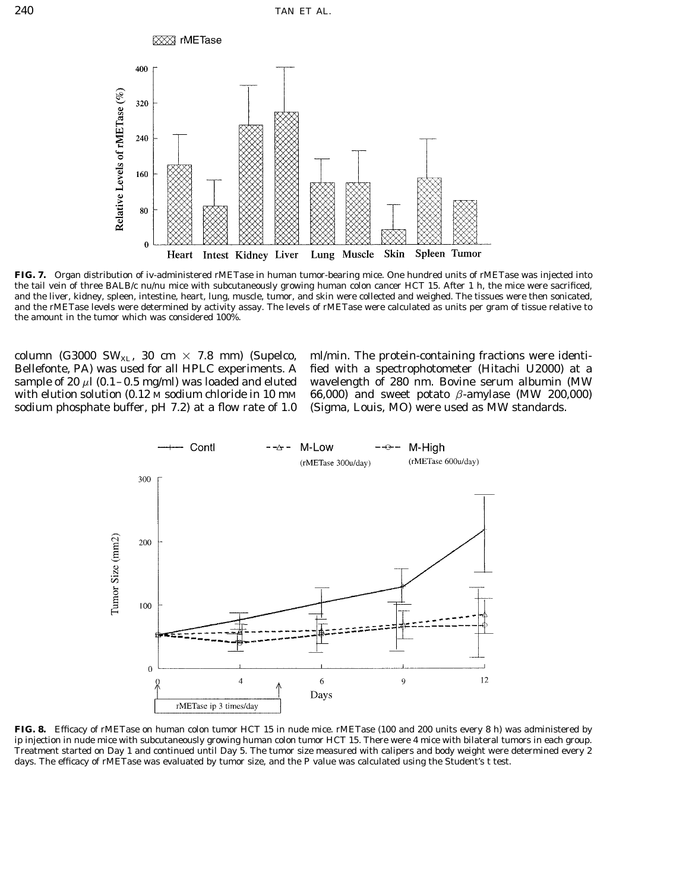

**FIG. 7.** Organ distribution of iv-administered rMETase in human tumor-bearing mice. One hundred units of rMETase was injected into the tail vein of three BALB/c nu/nu mice with subcutaneously growing human colon cancer HCT 15. After 1 h, the mice were sacrificed, and the liver, kidney, spleen, intestine, heart, lung, muscle, tumor, and skin were collected and weighed. The tissues were then sonicated, and the rMETase levels were determined by activity assay. The levels of rMETase were calculated as units per gram of tissue relative to the amount in the tumor which was considered 100%.

Bellefonte, PA) was used for all HPLC experiments. A fied with a spectrophotometer (Hitachi U2000) at a sample of 20  $\mu$ l (0.1–0.5 mg/ml) was loaded and eluted wavelength of 280 nm. Bovine serum albumin (MW with elution solution (0.12 M sodium chloride in 10 mM 66,000) and sweet potato  $\beta$ -amylase (MW 200,000) sodium phosphate buffer, pH 7.2) at a flow rate of 1.0 (Sigma, Louis, MO) were used as MW standards.

column (G3000 SW<sub>XL</sub>, 30 cm  $\times$  7.8 mm) (Supelco, ml/min. The protein-containing fractions were identi-



**FIG. 8.** Efficacy of rMETase on human colon tumor HCT 15 in nude mice. rMETase (100 and 200 units every 8 h) was administered by ip injection in nude mice with subcutaneously growing human colon tumor HCT 15. There were 4 mice with bilateral tumors in each group. Treatment started on Day 1 and continued until Day 5. The tumor size measured with calipers and body weight were determined every 2 days. The efficacy of rMETase was evaluated by tumor size, and the *P* value was calculated using the Student's *t* test.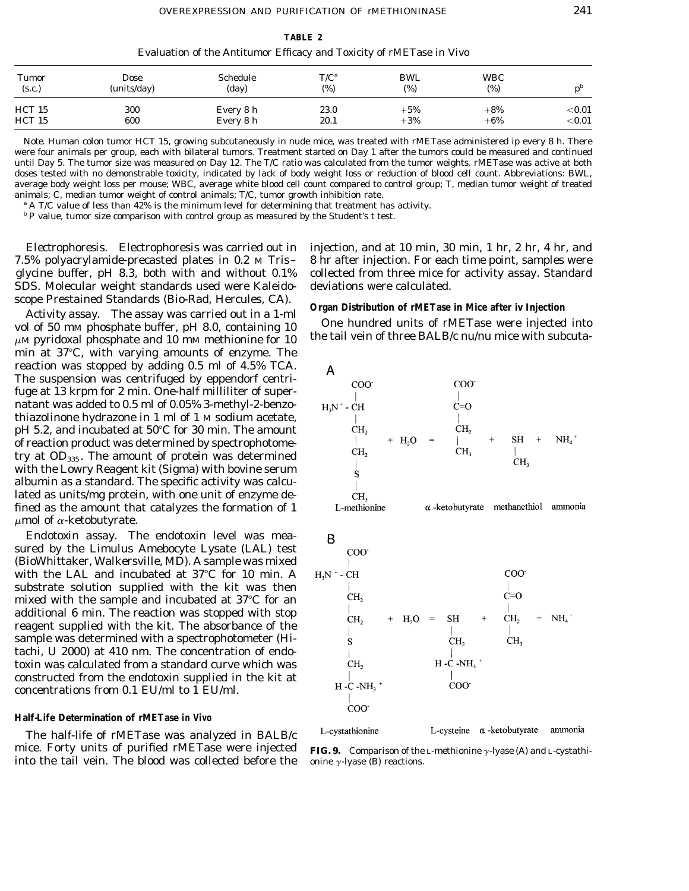**TABLE 2** Evaluation of the Antitumor Efficacy and Toxicity of rMETase *in Vivo*

| <b>Tumor</b>  | Dose        | <b>Schedule</b> | $T/C^a$ | BWL   | <b>WBC</b> | $n^{\nu}$  |
|---------------|-------------|-----------------|---------|-------|------------|------------|
| (s.c.)        | (units/day) | (day)           | (%)     | (%)   | (%)        |            |
| <b>HCT 15</b> | 300         | Every 8 h       | 23.0    | $+5%$ | $+8%$      | $<$ $0.01$ |
| HCT 15        | 600         | Every 8 h       | 20.1    | $+3%$ | $+6%$      | $<$ $0.01$ |

*Note.* Human colon tumor HCT 15, growing subcutaneously in nude mice, was treated with rMETase administered ip every 8 h. There were four animals per group, each with bilateral tumors. Treatment started on Day 1 after the tumors could be measured and continued until Day 5. The tumor size was measured on Day 12. The T/C ratio was calculated from the tumor weights. rMETase was active at both doses tested with no demonstrable toxicity, indicated by lack of body weight loss or reduction of blood cell count. Abbreviations: BWL, average body weight loss per mouse; WBC, average white blood cell count compared to control group; T, median tumor weight of treated animals; C, median tumor weight of control animals; T/C, tumor growth inhibition rate.

*<sup>a</sup>* A T/C value of less than 42% is the minimum level for determining that treatment has activity.

*<sup>b</sup> P* value, tumor size comparison with control group as measured by the Student's *t* test.

SDS. Molecular weight standards used were Kaleido- deviations were calculated.

scope Prestained Standards (Bio-Rad, Hercules, CA).<br>
Activity assay. The assay was carried out in a 1-ml<br>
vol of 50 mM phosphate buffer, pH 8.0, containing 10<br>  $\mu$ M pyridoxal phosphate and 10 mM methionine for 10<br>
the ta min at  $37^{\circ}$ C, with varying amounts of enzyme. The reaction was stopped by adding 0.5 ml of 4.5% TCA. The suspension was centrifuged by eppendorf centrifuge at 13 krpm for 2 min. One-half milliliter of supernatant was added to 0.5 ml of 0.05% 3-methyl-2-benzothiazolinone hydrazone in 1 ml of 1 M sodium acetate,  $pH$  5.2, and incubated at 50 $^{\circ}$ C for 30 min. The amount of reaction product was determined by spectrophotometry at  $OD_{335}$ . The amount of protein was determined with the Lowry Reagent kit (Sigma) with bovine serum albumin as a standard. The specific activity was calculated as units/mg protein, with one unit of enzyme defined as the amount that catalyzes the formation of 1  $\mu$ mol of  $\alpha$ -ketobutyrate.

*Endotoxin assay.* The endotoxin level was measured by the Limulus Amebocyte Lysate (LAL) test (BioWhittaker, Walkersville, MD). A sample was mixed with the LAL and incubated at  $37^{\circ}$ C for 10 min. A substrate solution supplied with the kit was then mixed with the sample and incubated at  $37^{\circ}$ C for an additional 6 min. The reaction was stopped with stop reagent supplied with the kit. The absorbance of the sample was determined with a spectrophotometer (Hitachi, U 2000) at 410 nm. The concentration of endotoxin was calculated from a standard curve which was constructed from the endotoxin supplied in the kit at concentrations from 0.1 EU/ml to 1 EU/ml.

## **Half-Life Determination of rMETase** *in Vivo*

The half-life of rMETase was analyzed in BALB/c mice. Forty units of purified rMETase were injected **FIG. 9.** Comparison of the L-methionine y-lyase (A) and L-cystathiinto the tail vein. The blood was collected before the onine  $\gamma$ -lyase (B) reactions.

*Electrophoresis.* Electrophoresis was carried out in injection, and at 10 min, 30 min, 1 hr, 2 hr, 4 hr, and 7.5% polyacrylamide-precasted plates in 0.2 M Tris– 8 hr after injection. For each time point, samples were glycine buffer, pH 8.3, both with and without 0.1% collected from three mice for activity assay. Standard





L-cystathionine

L-cysteine  $\alpha$ -ketobutyrate ammonia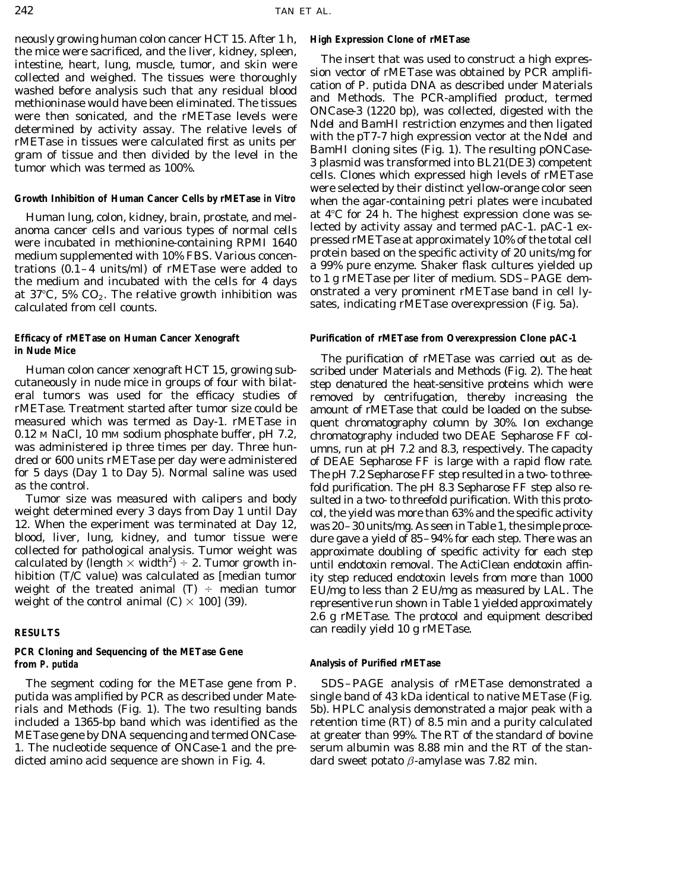neously growing human colon cancer HCT 15. After 1 h, **High Expression Clone of rMETase** the mice were sacrificed, and the liver, kidney, spleen,<br>
intestine, heart, lung, muscle, tumor, and skin were<br>
collected and weighed. The tissues were thoroughly<br>
sion vector of rMETase was obtained by PCR amplifi-<br>
coll

anoma cancer cells and various types of normal cells lected by activity assay and termed pAC-1. pAC-1 ex-<br>were incubated in methionine-containing RPMI 1640 pressed rMETase at approximately 10% of the total cell were incubated in methionine-containing RPMI 1640 medium supplemented with 10% FBS. Various concen-<br>trations (0.1–4 units/ml) of rMETase were added to a 99% pure enzyme. Shaker flask cultures yielded up trations (0.1–4 units/ml) of rMETase were added to a 99% pure enzyme. Shaker flask cultures yielded up<br>the medium and incubated with the cells for 4 days to 1 g rMETase per liter of medium. SDS–PAGE demthe medium and incubated with the cells for 4 days to 1 g rMETase per liter of medium. SDS-PAGE dem-<br>at 37°C, 5% CO<sub>2</sub>. The relative growth inhibition was onstrated a very prominent rMETase band in cell ly-<br>calculated fro

calculated by (length  $\times$  width<sup>2</sup>)  $\div$  2. Tumor growth in-

# **PCR Cloning and Sequencing of the METase Gene from** *P. putida* **Analysis of Purified rMETase Analysis of Purified rMETase**

dicted amino acid sequence are shown in Fig. 4. dard sweet potato  $\beta$ -amylase was 7.82 min.

were selected by their distinct yellow-orange color seen **Growth Inhibition of Human Cancer Cells by rMETase** *in Vitro* when the agar-containing petri plates were incubated Human lung, colon, kidney, brain, prostate, and mel- at  $4^{\circ}C$  for 24 h. The highest expression clone was se-

### **Efficacy of rMETase on Human Cancer Xenograft Purification of rMETase from Overexpression Clone pAC-1**

**in Nude Mice** The purification of rMETase was carried out as described under Materials and Methods (Fig. 2). The heat cutaneously in nude mice in groups of four with bilat- step denatured the heat-sensitive proteins which were eral tumors was used for the efficacy studies of removed by centrifugation, thereby increasing the<br>rMETase. Treatment started after tumor size could be amount of rMETase that could be loaded on the subserMETase. Treatment started after tumor size could be amount of rMETase that could be loaded on the subse-<br>measured which was termed as Day-1. rMETase in quent chromatography column by 30%. Ion exchange quent chromatography column by 30%. Ion exchange 0.12 M NaCl, 10 mM sodium phosphate buffer, pH 7.2, chromatography included two DEAE Sepharose FF col-<br>was administered ip three times per day. Three hun-<br>umns, run at pH 7.2 and 8.3, respectively. The capacity was administered ip three times per day. Three hun-<br>dred or 600 units rMETase per day were administered of DEAE Sepharose FF is large with a rapid flow rate. of DEAE Sepharose FF is large with a rapid flow rate. for 5 days (Day 1 to Day 5). Normal saline was used The pH 7.2 Sepharose FF step resulted in a two- to three-<br>fold purification. The pH 8.3 Sepharose FF step also reas the control.<br>Tumor size was measured with calipers and body sulted in a two- to threefold purification. With this protosulted in a two- to threefold purification. With this protoweight determined every 3 days from Day 1 until Day col, the yield was more than 63% and the specific activity<br>12. When the experiment was terminated at Day 12, was 20–30 units/mg. As seen in Table 1, the simple proce-12. When the experiment was terminated at Day 12, was 20–30 units/mg. As seen in Table 1, the simple procedure gave a yield of 85–94% for each step. There was an collected for pathological analysis. Tumor weight was approximate doubling of specific activity for each step calculated by (length  $\times$  width<sup>2</sup>)  $\div$  2. Tumor growth in-<br>hibition (T/C value) was calculated as [median tumor ) ity step reduced endotoxin levels from more than 1000 hibition (T/C value) was calculated as [median tumor ity step reduced endotoxin levels from more than 1000 weight of the treated animal (T)  $\div$  median tumor EU/mg to less than 2 EU/mg as measured by LAL. The weight of the treated animal (T)  $\div$  median tumor EU/mg to less than 2 EU/mg as measured by LAL. The veight of the control animal (C)  $\times$  100] (39). representive run shown in Table 1 yielded approximately 2.6 g rMETase. The protocol and equipment described **RESULTS** can readily yield 10 g rMETase.

The segment coding for the METase gene from *P.* SDS–PAGE analysis of rMETase demonstrated a *putida* was amplified by PCR as described under Mate- single band of 43 kDa identical to native METase (Fig. rials and Methods (Fig. 1). The two resulting bands 5b). HPLC analysis demonstrated a major peak with a included a 1365-bp band which was identified as the retention time (RT) of 8.5 min and a purity calculated METase gene by DNA sequencing and termed *ONCase-* at greater than 99%. The RT of the standard of bovine *1.* The nucleotide sequence of *ONCase-1* and the pre- serum albumin was 8.88 min and the RT of the stan-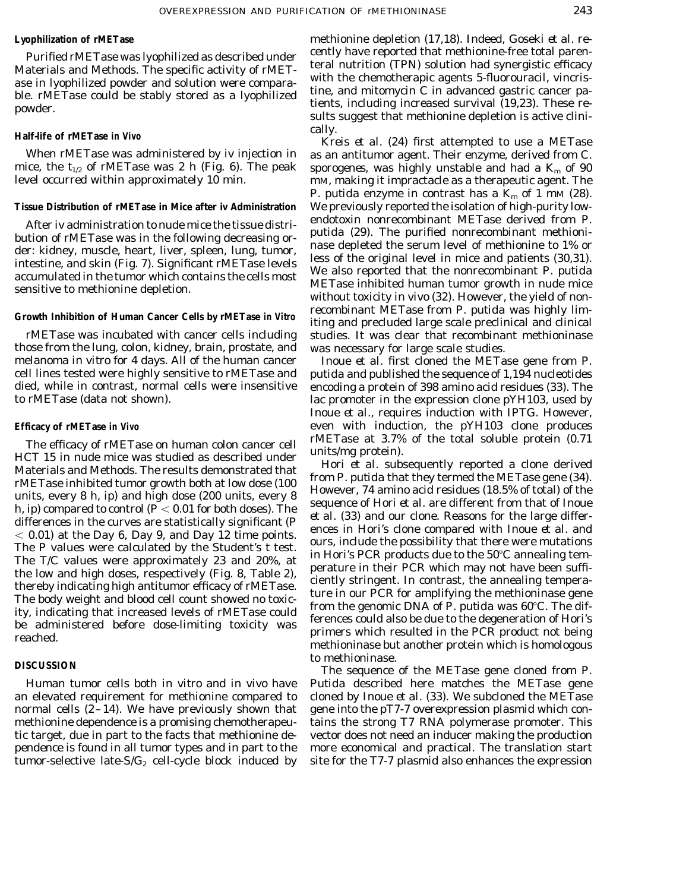those from the lung, colon, kidney, brain, prostate, and was necessary for large scale studies. melanoma *in vitro* for 4 days. All of the human cancer Inoue *et al.* first cloned the METase gene from *P.* cell lines tested were highly sensitive to rMETase and *putida* and published the sequence of 1,194 nucleotides died, while in contrast, normal cells were insensitive encoding a protein of 398 amino acid residues (33). The to rMETase (data not shown). lac promoter in the expression clone pYH103, used by

The efficacy of rMETase on human colon cancer cell rMETase at 3.7% of the total soluble protein (0.71<br>HCT 15 in nude mice was studied as described under units/mg protein).<br>
Hcri *t al.* subsequently reported a clone deriv

**Lyophilization of rMETase** methionine depletion (17,18). Indeed, Goseki *et al.* re-Purified rMETase was lyophilized as described under cently have reported that methionine-free total paren-Materials and Methods. The specific activity of rMET<sub>-</sub> teral nutrition (TPN) solution had synergistic efficacy<br>near the specific activity of rMET<sub>-</sub> with the chemotherapic agents 5-fluorouracil, vincris-<br>near hypothetic a ase in lyophilized powder and solution were compara-<br>ble. rMETase could be stably stored as a lyophilized<br>powder.<br>powder.<br>sults suggest that methionine depletion is active clini-

cally. **Half-life of rMETase** *in Vivo* Kreis *et al.* (24) first attempted to use a METase When rMETase was administered by iv injection in as an antitumor agent. Their enzyme, derived from *C.* mice, the  $t_{1/2}$  of rMETase was 2 h (Fig. 6). The peak *sporogenes*, was highly unstable and had a  $K_m$  of 90 level occurred within approximately 10 min. The mM, making it impractacle as a therapeutic agent. The mm, making it impractacle as a therapeutic agent. The *P. putida* enzyme in contrast has a  $K_m$  of 1 mm (28). **Tissue Distribution of rMETase in Mice after iv Administration** We previously reported the isolation of high-purity low-After iv administration to nude mice the tissue distri-<br>bution of rMETase was in the following decreasing or-<br>der: kidney, muscle, heart, liver, spleen, lung, tumor,<br>intestine, and skin (Fig. 7). Significant rMETase level recombinant METase from *P. putida* was highly lim- **Growth Inhibition of Human Cancer Cells by rMETase** *in Vitro* iting and precluded large scale preclinical and clinical rMETase was incubated with cancer cells including studies. It was clear that recombinant methioninase

Inoue *et al.,* requires induction with IPTG. However, **Efficacy of rMETase** *in Vivo* even with induction, the pYH103 clone produces

to methioninase.

**DISCUSSION** The sequence of the METase gene cloned from *P*. Human tumor cells both *in vitro* and *in vivo* have *Putida* described here matches the METase gene an elevated requirement for methionine compared to cloned by Inoue *et al.* (33). We subcloned the METase normal cells  $(2-14)$ . We have previously shown that gene into the pT7-7 overexpression plasmid which conmethionine dependence is a promising chemotherapeu- tains the strong T7 RNA polymerase promoter. This tic target, due in part to the facts that methionine de- vector does not need an inducer making the production pendence is found in all tumor types and in part to the more economical and practical. The translation start tumor-selective late- $S/G_2$  cell-cycle block induced by site for the T7-7 plasmid also enhances the expression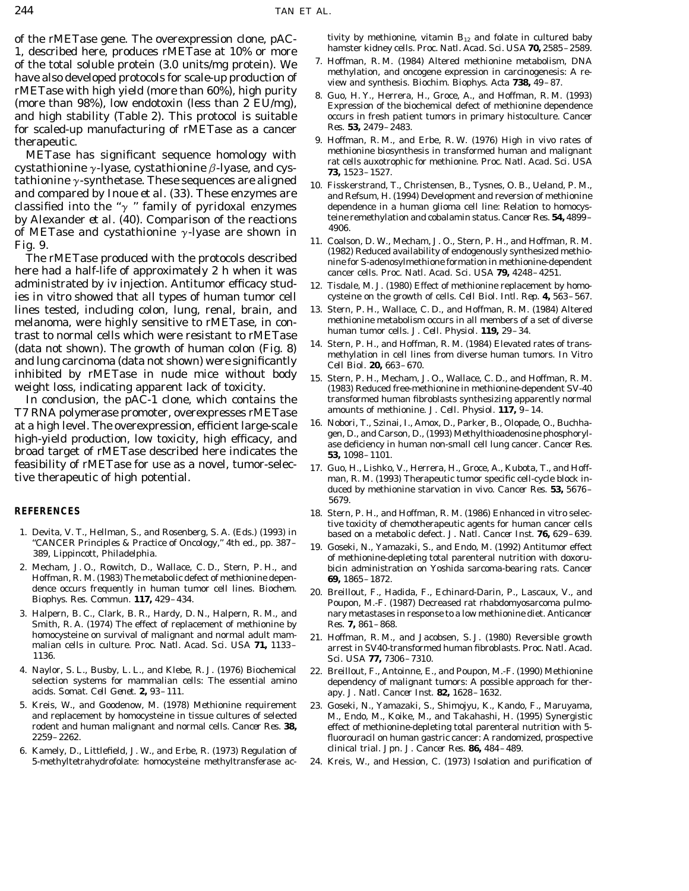1, described here, produces rMETase at 10% or more<br>of the total soluble protein (3.0 units/mg protein). We<br>have also developed protocols for scale-up production of<br>we and synthesis. *Biochim. Biophys. Acta* 738, 49-87. rMETase with high yield (more than 60%), high purity<br>(more than 98%), low endotoxin (less than 2 EU/mg),<br>Expression of the biochemical defect of methionine dependence and high stability (Table 2). This protocol is suitable occurs in fresh patient tumors in primary histoculture. *Cancer Res.* **53,** 2479–2483. for scaled-up manufacturing of rMETase as a cancer

cystathionine  $\gamma$ -lyase, cystathionine  $\beta$ -lyase, and cys- **73**, 1523–1527. tathionine  $\gamma$ -synthetase. These sequences are aligned  $_{10.}$  Fisskerstrand, T., Christensen, B., Tysnes, O. B., Ueland, P. M., and compared by Inoue *et al.* (33). These enzymes are and Refsum, H. (1994) Development and reversion of methionine classified into the " $\gamma$ " family of pyridoxal enzymes dependence in a human glioma cell line: Relation to homocys-<br>by Alexander et al. (40) Comparison of the reactions teine remethylation and cobalamin status. Cancer Res by Alexander *et al.* (40). Comparison of the reactions of the remethylation and cobalamin status. *Cancer Res.* **54,** 4899–<br>of METase and cystathionine  $\gamma$ -lyase are shown in  $\gamma$ -lyase are shown in  $\gamma$ -lyase are shown

administrated by iv injection. Antitumor efficacy stud- 12. Tisdale, M. J. (1980) Effect of methionine replacement by homoies *in vitro* showed that all types of human tumor cell cysteine on the growth of cells. *Cell Biol. Intl. Rep.* **4,** 563–567. lines tested, including colon, lung, renal, brain, and 13. Stern, P. H., Wallace, C. D., and Hoffman, R. M. (1984) Altered melanoma, were highly sensitive to rMETase, in con-<br>tract to pormal calls which were resistant to rMETase human tumor cells. J. Cell. Physiol. 119, 29–34. trast to normal cells which were resistant to rMETase<br>(data not chaun). The grouth of human celon (Fig. 9) 14. Stern, P. H., and Hoffman, R. M. (1984) Elevated rates of transinhibited by rMETase in nude mice without body 15. Stern, P. H., Mecham, J. O., Wallace, C. D., and Hoffman, R. M.

T7 RNA polymerase promoter, overexpresses rMETase amounts of methionine. *J. Cell. Physiol.* **117,** 9–14. at a high level. The overexpression, efficient large-scale 16. Nobori, T., Szinai, I., Amox, D., Parker, B., Olopade, O., Buchha-<br>high-yield production, low toxicity, high efficacy, and sea deficiency in human non-small ce feasibility of rMETase for use as a novel, tumor-selec- 17. Guo, H., Lishko, V., Herrera, H., Groce, A., Kubota, T., and Hoff-

- 
- Hoffman, R. M. (1983) The metabolic defect of methionine depen-
- Smith, R. A. (1974) The effect of replacement of methionine by *Res.* **7,** 861–868. homocysteine on survival of malignant and normal adult mam-<br>malian cells in culture. Proc. Natl. Acad. Sci. USA 71, 1133-<br>1136. Sci. USA 71, 1133-<br>Sci. ISA 77, 7306-7310
- 4. Naylor, S. L., Busby, L. L., and Klebe, R. J. (1976) Biochemical 22. Breillout, F., Antoinne, E., and Poupon, M.-F. (1990) Methionine selection systems for mammalian cells: The essential amino dependency of malignant tu
- 5. Kreis, W., and Goodenow, M. (1978) Methionine requirement 23. Goseki, N., Yamazaki, S., Shimojyu, K., Kando, F., Maruyama,
- 

of the rMETase gene. The overexpression clone,  $pAC-$  tivity by methionine, vitamin  $B_{12}$  and folate in cultured baby<br>1. described here, produces rMETase at 10% or more, hamster kidney cells. *Proc. Natl. Acad. Sci. USA* 

- 
- 
- therapeutic.<br>METase has significant sequence homology with methionine biosynthesis in transformed human and malignant METase has significant sequence homology with methionine biosynthesis in transformed human and malignant methionine. Proc. Natl. Acad. Sci. USA
	-
- here had a half-life of approximately 2 h when it was cancer cells. *Proc. Natl. Acad. Sci. USA* **79,** 4248–4251.
	-
	-
- (data not shown). The growth of human colon (Fig. 8)  $\frac{14}{2}$ . Stern, P. H., and Hollman, R. M. (1984) Elevated rates of transand lung carcinoma (data not shown) were significantly and  $\frac{1}{2}$  cell Biol. **20**, 663–670
- weight loss, indicating apparent lack of toxicity. (1983) Reduced free-methionine in methionine-dependent SV-40 In conclusion, the pAC-1 clone, which contains the transformed human fibroblasts synthesizing apparently normal<br>I RNA polymerase promoter overexpresses rMETase amounts of methionine. J. Cell. Physiol. 117, 9-14.
	-
	- man, R. M. (1993) Therapeutic tumor specific cell-cycle block induced by methionine starvation *in vivo*. *Cancer Res.* **53,** 5676– 5679.
- **REFERENCES** 18. Stern, P. H., and Hoffman, R. M. (1986) Enhanced *in vitro* selective toxicity of chemotherapeutic agents for human cancer cells<br>1. Devita, V. T., Hellman, S., and Rosenberg, S. A. (Eds.) (1993) *in*<br>2. Cancer *Inst.* **76,** 629–639. <br>1. Cancer Inst. **76,** 629–639. <br>2. Cancer Inst. **76,**
- "CANCER Principles & Practice of Oncology," 4th ed., pp. 387–19. Goseki, N., Yamazaki, S., and Endo, M. (1992) Antitumor effect<br>389, Lippincott, Philadelphia. en entropy of methionine-depleting total parenteral nutrition w 2. Mecham, J. O., Rowitch, D., Wallace, C. D., Stern, P. H., and bicin administration on Yoshida sarcoma-bearing rats. *Cancer*
- dence occurs frequently in human tumor cell lines. *Biochem.* 20. Breillout, F., Hadida, F., Echinard-Darin, P., Lascaux, V., and *Biophys. Res. Commun*. 117, 429-434. Poupon, M.-F. (1987) Decreased rat rhabdomyosarcoma pu 3. Halpern, B. C., Clark, B. R., Hardy, D. N., Halpern, R. M., and nary metastases in response to a low methionine diet. *Anticancer*
	- 1136. *Sci. USA* **77,** 7306–7310.
	- selection systems for mammalian cells: The essential amino dependency of malignant tumors: A possible approach for ther-<br>acids. Somat. Cell Genet. 2, 93–111. apy. *J. Natl. Cancer Inst.* **82**, 1628–1632.
- and replacement by homocysteine in tissue cultures of selected M., Endo, M., Koike, M., and Takahashi, H. (1995) Synergistic<br>1955) rodent and human malignant and normal cells. Cancer Res. **38,** effect of methionine-depleti rodent and human malignant and normal cells. *Cancer Res.* **38,** effect of methionine-depleting total parenteral nutrition with 5 fluorouracil on human gastric cancer: A randomized, prospective 6. Kamely, D., Littlefield, J. W., and Erbe, R. (1973) Regulation of clinical trial. *Jpn. J. Cancer Res.* **86,** 484–489.
	- 5-methyltetrahydrofolate: homocysteine methyltransferase ac- 24. Kreis, W., and Hession, C. (1973) Isolation and purification of